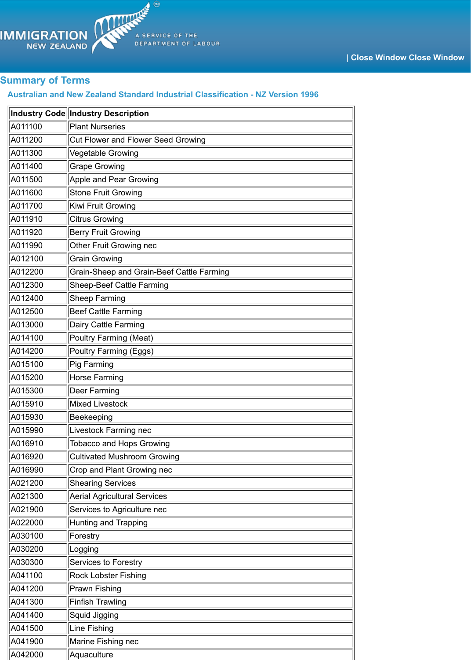| A011400 | <b>Grape Growing</b>                      |
|---------|-------------------------------------------|
| A011500 | Apple and Pear Growing                    |
| A011600 | <b>Stone Fruit Growing</b>                |
| A011700 | Kiwi Fruit Growing                        |
| A011910 | <b>Citrus Growing</b>                     |
| A011920 | <b>Berry Fruit Growing</b>                |
| A011990 | <b>Other Fruit Growing nec</b>            |
| A012100 | <b>Grain Growing</b>                      |
| A012200 | Grain-Sheep and Grain-Beef Cattle Farming |
| A012300 | <b>Sheep-Beef Cattle Farming</b>          |
| A012400 | <b>Sheep Farming</b>                      |
| A012500 | Beef Cattle Farming                       |
| A013000 | Dairy Cattle Farming                      |
| A014100 | Poultry Farming (Meat)                    |
| A014200 | Poultry Farming (Eggs)                    |
| A015100 | Pig Farming                               |
| A015200 | <b>Horse Farming</b>                      |
| A015300 | <b>Deer Farming</b>                       |
| A015910 | Mixed Livestock                           |
| A015930 | Beekeeping                                |
| A015990 | Livestock Farming nec                     |
| A016910 | <b>Tobacco and Hops Growing</b>           |
| A016920 | <b>Cultivated Mushroom Growing</b>        |
| A016990 | Crop and Plant Growing nec                |
| A021200 | <b>Shearing Services</b>                  |
| A021300 | <b>Aerial Agricultural Services</b>       |
| A021900 | Services to Agriculture nec               |
| A022000 | Hunting and Trapping                      |
| A030100 | Forestry                                  |
| A030200 | Logging                                   |
| A030300 | <b>Services to Forestry</b>               |
| A041100 | <b>Rock Lobster Fishing</b>               |
| A041200 | <b>Prawn Fishing</b>                      |
| A041300 | <b>Finfish Trawling</b>                   |
| A041400 | Squid Jigging                             |
| A041500 | Line Fishing                              |
| A041900 | Marine Fishing nec                        |
| A042000 | Aquaculture                               |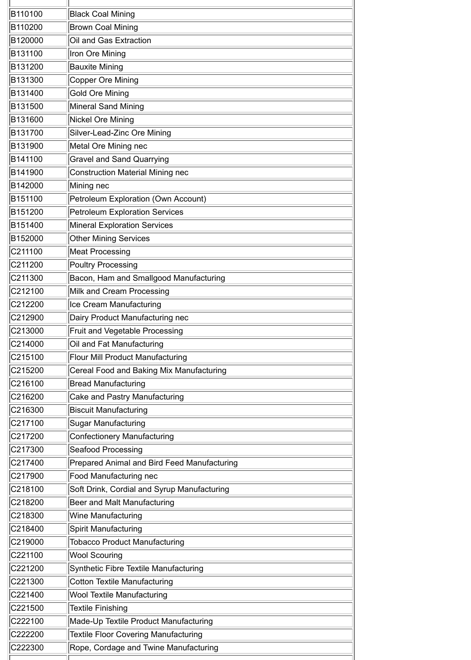| B110100 | <b>Black Coal Mining</b>                    |
|---------|---------------------------------------------|
| B110200 | <b>Brown Coal Mining</b>                    |
| B120000 | Oil and Gas Extraction                      |
| B131100 | Iron Ore Mining                             |
| B131200 | <b>Bauxite Mining</b>                       |
| B131300 | Copper Ore Mining                           |
| B131400 | <b>Gold Ore Mining</b>                      |
| B131500 | Mineral Sand Mining                         |
| B131600 | Nickel Ore Mining                           |
| B131700 | Silver-Lead-Zinc Ore Mining                 |
| B131900 | Metal Ore Mining nec                        |
| B141100 | <b>Gravel and Sand Quarrying</b>            |
| B141900 | <b>Construction Material Mining nec</b>     |
| B142000 | Mining nec                                  |
| B151100 | Petroleum Exploration (Own Account)         |
| B151200 | <b>Petroleum Exploration Services</b>       |
| B151400 | <b>Mineral Exploration Services</b>         |
| B152000 | <b>Other Mining Services</b>                |
| C211100 | Meat Processing                             |
| C211200 | <b>Poultry Processing</b>                   |
| C211300 | Bacon, Ham and Smallgood Manufacturing      |
| C212100 | Milk and Cream Processing                   |
| C212200 | Ice Cream Manufacturing                     |
| C212900 | Dairy Product Manufacturing nec             |
| C213000 | <b>Fruit and Vegetable Processing</b>       |
| C214000 | Oil and Fat Manufacturing                   |
| C215100 | <b>Flour Mill Product Manufacturing</b>     |
| C215200 | Cereal Food and Baking Mix Manufacturing    |
| C216100 | <b>Bread Manufacturing</b>                  |
| C216200 | <b>Cake and Pastry Manufacturing</b>        |
| C216300 | <b>Biscuit Manufacturing</b>                |
| C217100 | Sugar Manufacturing                         |
| C217200 | <b>Confectionery Manufacturing</b>          |
| C217300 | Seafood Processing                          |
| C217400 | Prepared Animal and Bird Feed Manufacturing |
| C217900 | Food Manufacturing nec                      |
| C218100 | Soft Drink, Cordial and Syrup Manufacturing |
| C218200 | Beer and Malt Manufacturing                 |
| C218300 | Wine Manufacturing                          |
| C218400 | Spirit Manufacturing                        |
| C219000 | <b>Tobacco Product Manufacturing</b>        |
| C221100 | <b>Wool Scouring</b>                        |
| C221200 | Synthetic Fibre Textile Manufacturing       |
| C221300 | Cotton Textile Manufacturing                |
| C221400 | <b>Wool Textile Manufacturing</b>           |
| C221500 | <b>Textile Finishing</b>                    |
| C222100 | Made-Up Textile Product Manufacturing       |
| C222200 | <b>Textile Floor Covering Manufacturing</b> |
| C222300 | Rope, Cordage and Twine Manufacturing       |
|         |                                             |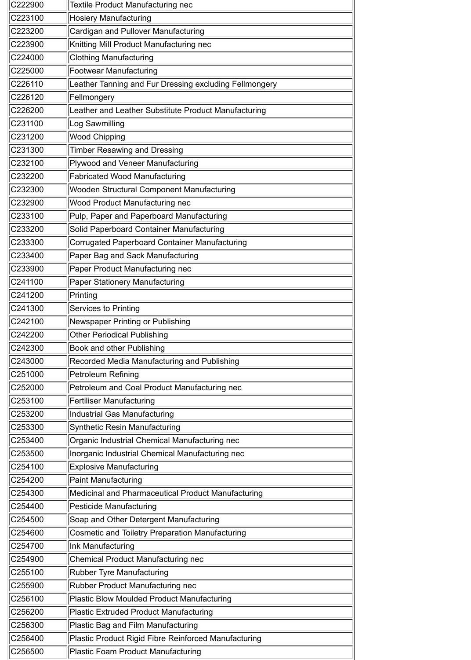| C222900 | <b>Textile Product Manufacturing nec</b>               |
|---------|--------------------------------------------------------|
| C223100 | <b>Hosiery Manufacturing</b>                           |
| C223200 | Cardigan and Pullover Manufacturing                    |
| C223900 | Knitting Mill Product Manufacturing nec                |
| C224000 | <b>Clothing Manufacturing</b>                          |
| C225000 | <b>Footwear Manufacturing</b>                          |
| C226110 | Leather Tanning and Fur Dressing excluding Fellmongery |
| C226120 | Fellmongery                                            |
| C226200 | Leather and Leather Substitute Product Manufacturing   |
| C231100 | Log Sawmilling                                         |
| C231200 | <b>Wood Chipping</b>                                   |
| C231300 | <b>Timber Resawing and Dressing</b>                    |
| C232100 | Plywood and Veneer Manufacturing                       |
| C232200 | <b>Fabricated Wood Manufacturing</b>                   |
| C232300 | Wooden Structural Component Manufacturing              |
| C232900 | <b>Wood Product Manufacturing nec</b>                  |
| C233100 | Pulp, Paper and Paperboard Manufacturing               |
| C233200 | Solid Paperboard Container Manufacturing               |
| C233300 | Corrugated Paperboard Container Manufacturing          |
| C233400 | Paper Bag and Sack Manufacturing                       |
| C233900 | Paper Product Manufacturing nec                        |
| C241100 | <b>Paper Stationery Manufacturing</b>                  |
| C241200 | Printing                                               |
| C241300 | Services to Printing                                   |
| C242100 | Newspaper Printing or Publishing                       |
| C242200 | <b>Other Periodical Publishing</b>                     |
| C242300 | <b>Book and other Publishing</b>                       |
| C243000 | Recorded Media Manufacturing and Publishing            |
| C251000 | Petroleum Refining                                     |
| C252000 | Petroleum and Coal Product Manufacturing nec           |
| C253100 | <b>Fertiliser Manufacturing</b>                        |
| C253200 | Industrial Gas Manufacturing                           |
| C253300 | Synthetic Resin Manufacturing                          |
| C253400 | Organic Industrial Chemical Manufacturing nec          |
| C253500 | Inorganic Industrial Chemical Manufacturing nec        |
| C254100 | <b>Explosive Manufacturing</b>                         |
| C254200 | <b>Paint Manufacturing</b>                             |
| C254300 | Medicinal and Pharmaceutical Product Manufacturing     |
| C254400 | Pesticide Manufacturing                                |
| C254500 | Soap and Other Detergent Manufacturing                 |
| C254600 | Cosmetic and Toiletry Preparation Manufacturing        |
| C254700 | Ink Manufacturing                                      |
| C254900 | <b>Chemical Product Manufacturing nec</b>              |
| C255100 | <b>Rubber Tyre Manufacturing</b>                       |
| C255900 | <b>Rubber Product Manufacturing nec</b>                |
| C256100 | Plastic Blow Moulded Product Manufacturing             |
| C256200 | Plastic Extruded Product Manufacturing                 |
| C256300 | Plastic Bag and Film Manufacturing                     |
| C256400 | Plastic Product Rigid Fibre Reinforced Manufacturing   |
| C256500 | Plastic Foam Product Manufacturing                     |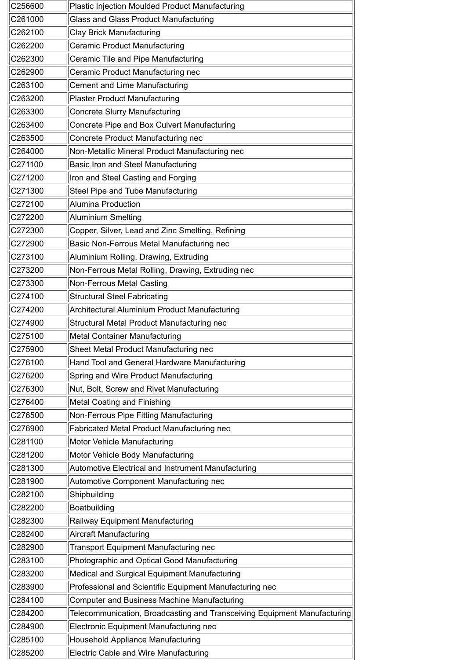| C256600 | Plastic Injection Moulded Product Manufacturing                          |
|---------|--------------------------------------------------------------------------|
| C261000 | <b>Glass and Glass Product Manufacturing</b>                             |
| C262100 | <b>Clay Brick Manufacturing</b>                                          |
| C262200 | Ceramic Product Manufacturing                                            |
| C262300 | Ceramic Tile and Pipe Manufacturing                                      |
| C262900 | Ceramic Product Manufacturing nec                                        |
| C263100 | Cement and Lime Manufacturing                                            |
| C263200 | <b>Plaster Product Manufacturing</b>                                     |
| C263300 | Concrete Slurry Manufacturing                                            |
| C263400 | Concrete Pipe and Box Culvert Manufacturing                              |
| C263500 | Concrete Product Manufacturing nec                                       |
| C264000 | Non-Metallic Mineral Product Manufacturing nec                           |
| C271100 | <b>Basic Iron and Steel Manufacturing</b>                                |
| C271200 | Iron and Steel Casting and Forging                                       |
| C271300 | Steel Pipe and Tube Manufacturing                                        |
| C272100 | Alumina Production                                                       |
| C272200 | Aluminium Smelting                                                       |
| C272300 | Copper, Silver, Lead and Zinc Smelting, Refining                         |
| C272900 | Basic Non-Ferrous Metal Manufacturing nec                                |
| C273100 | Aluminium Rolling, Drawing, Extruding                                    |
| C273200 | Non-Ferrous Metal Rolling, Drawing, Extruding nec                        |
| C273300 | <b>Non-Ferrous Metal Casting</b>                                         |
| C274100 | <b>Structural Steel Fabricating</b>                                      |
| C274200 | Architectural Aluminium Product Manufacturing                            |
| C274900 | Structural Metal Product Manufacturing nec                               |
| C275100 | Metal Container Manufacturing                                            |
| C275900 | Sheet Metal Product Manufacturing nec                                    |
| C276100 | Hand Tool and General Hardware Manufacturing                             |
| C276200 | Spring and Wire Product Manufacturing                                    |
| C276300 | Nut, Bolt, Screw and Rivet Manufacturing                                 |
| C276400 | Metal Coating and Finishing                                              |
| C276500 | Non-Ferrous Pipe Fitting Manufacturing                                   |
| C276900 | <b>Fabricated Metal Product Manufacturing nec</b>                        |
| C281100 | Motor Vehicle Manufacturing                                              |
| C281200 | Motor Vehicle Body Manufacturing                                         |
| C281300 | Automotive Electrical and Instrument Manufacturing                       |
| C281900 | Automotive Component Manufacturing nec                                   |
| C282100 | Shipbuilding                                                             |
| C282200 | Boatbuilding                                                             |
| C282300 | Railway Equipment Manufacturing                                          |
| C282400 | Aircraft Manufacturing                                                   |
| C282900 | <b>Transport Equipment Manufacturing nec</b>                             |
| C283100 | Photographic and Optical Good Manufacturing                              |
| C283200 | Medical and Surgical Equipment Manufacturing                             |
| C283900 | Professional and Scientific Equipment Manufacturing nec                  |
| C284100 | Computer and Business Machine Manufacturing                              |
| C284200 | Telecommunication, Broadcasting and Transceiving Equipment Manufacturing |
| C284900 | Electronic Equipment Manufacturing nec                                   |
| C285100 | Household Appliance Manufacturing                                        |
| C285200 | Electric Cable and Wire Manufacturing                                    |

Ή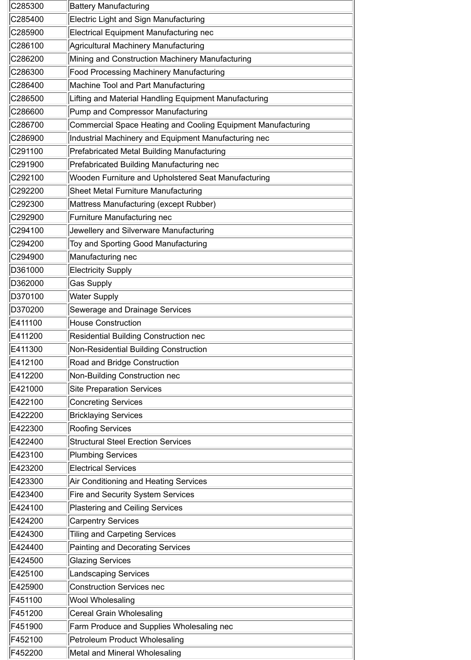| C285300 | <b>Battery Manufacturing</b>                                 |
|---------|--------------------------------------------------------------|
| C285400 | Electric Light and Sign Manufacturing                        |
| C285900 | Electrical Equipment Manufacturing nec                       |
| C286100 | Agricultural Machinery Manufacturing                         |
| C286200 | Mining and Construction Machinery Manufacturing              |
| C286300 | <b>Food Processing Machinery Manufacturing</b>               |
| C286400 | Machine Tool and Part Manufacturing                          |
| C286500 | Lifting and Material Handling Equipment Manufacturing        |
| C286600 | Pump and Compressor Manufacturing                            |
| C286700 | Commercial Space Heating and Cooling Equipment Manufacturing |
| C286900 | Industrial Machinery and Equipment Manufacturing nec         |
| C291100 | Prefabricated Metal Building Manufacturing                   |
| C291900 | Prefabricated Building Manufacturing nec                     |
| C292100 | Wooden Furniture and Upholstered Seat Manufacturing          |
| C292200 | <b>Sheet Metal Furniture Manufacturing</b>                   |
| C292300 | Mattress Manufacturing (except Rubber)                       |
| C292900 | <b>Furniture Manufacturing nec</b>                           |
| C294100 | Jewellery and Silverware Manufacturing                       |
| C294200 | Toy and Sporting Good Manufacturing                          |
| C294900 | Manufacturing nec                                            |
| D361000 | <b>Electricity Supply</b>                                    |
| D362000 | Gas Supply                                                   |
| D370100 | <b>Water Supply</b>                                          |
| D370200 | Sewerage and Drainage Services                               |
| E411100 | <b>House Construction</b>                                    |
| E411200 | <b>Residential Building Construction nec</b>                 |
| E411300 | Non-Residential Building Construction                        |
| E412100 | <b>Road and Bridge Construction</b>                          |
| E412200 | Non-Building Construction nec                                |
| E421000 | <b>Site Preparation Services</b>                             |
| E422100 | <b>Concreting Services</b>                                   |
| E422200 | <b>Bricklaying Services</b>                                  |
| E422300 | <b>Roofing Services</b>                                      |
| E422400 | <b>Structural Steel Erection Services</b>                    |
| E423100 | Plumbing Services                                            |
| E423200 | <b>Electrical Services</b>                                   |
| E423300 | Air Conditioning and Heating Services                        |
| E423400 | <b>Fire and Security System Services</b>                     |
| E424100 | Plastering and Ceiling Services                              |
| E424200 | <b>Carpentry Services</b>                                    |
| E424300 | <b>Tiling and Carpeting Services</b>                         |
| E424400 | Painting and Decorating Services                             |
| E424500 | <b>Glazing Services</b>                                      |
| E425100 | Landscaping Services                                         |
| E425900 | <b>Construction Services nec</b>                             |
| F451100 | <b>Wool Wholesaling</b>                                      |
| F451200 | Cereal Grain Wholesaling                                     |
| F451900 | <b>Farm Produce and Supplies Wholesaling nec</b>             |
| F452100 | Petroleum Product Wholesaling                                |
| F452200 | Metal and Mineral Wholesaling                                |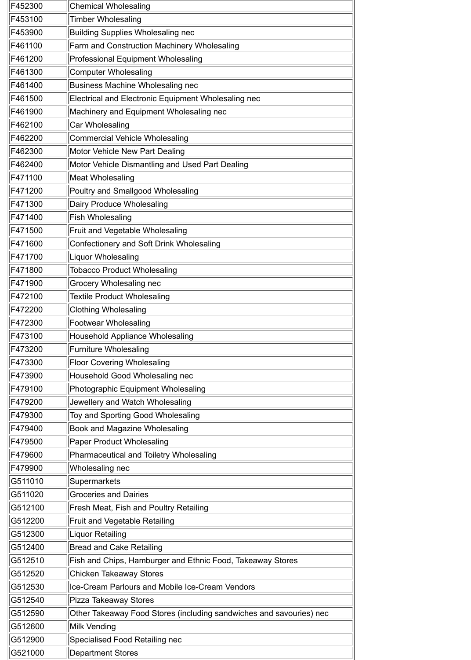| F452300 | <b>Chemical Wholesaling</b>                                         |
|---------|---------------------------------------------------------------------|
| F453100 | <b>Timber Wholesaling</b>                                           |
| F453900 | <b>Building Supplies Wholesaling nec</b>                            |
| F461100 | Farm and Construction Machinery Wholesaling                         |
| F461200 | <b>Professional Equipment Wholesaling</b>                           |
| F461300 | <b>Computer Wholesaling</b>                                         |
| F461400 | Business Machine Wholesaling nec                                    |
| F461500 | Electrical and Electronic Equipment Wholesaling nec                 |
| F461900 | Machinery and Equipment Wholesaling nec                             |
| F462100 | <b>Car Wholesaling</b>                                              |
| F462200 | <b>Commercial Vehicle Wholesaling</b>                               |
| F462300 | Motor Vehicle New Part Dealing                                      |
| F462400 | Motor Vehicle Dismantling and Used Part Dealing                     |
| F471100 | <b>Meat Wholesaling</b>                                             |
| F471200 | Poultry and Smallgood Wholesaling                                   |
| F471300 | Dairy Produce Wholesaling                                           |
| F471400 | <b>Fish Wholesaling</b>                                             |
| F471500 | <b>Fruit and Vegetable Wholesaling</b>                              |
| F471600 | Confectionery and Soft Drink Wholesaling                            |
| F471700 | Liquor Wholesaling                                                  |
| F471800 | <b>Tobacco Product Wholesaling</b>                                  |
| F471900 | <b>Grocery Wholesaling nec</b>                                      |
| F472100 | <b>Textile Product Wholesaling</b>                                  |
| F472200 | <b>Clothing Wholesaling</b>                                         |
| F472300 | Footwear Wholesaling                                                |
| F473100 | Household Appliance Wholesaling                                     |
| F473200 | <b>Furniture Wholesaling</b>                                        |
| F473300 | <b>Floor Covering Wholesaling</b>                                   |
| F473900 | Household Good Wholesaling nec                                      |
| F479100 | Photographic Equipment Wholesaling                                  |
| F479200 | Jewellery and Watch Wholesaling                                     |
| F479300 | Toy and Sporting Good Wholesaling                                   |
| F479400 | <b>Book and Magazine Wholesaling</b>                                |
| F479500 | <b>Paper Product Wholesaling</b>                                    |
| F479600 | Pharmaceutical and Toiletry Wholesaling                             |
| F479900 | Wholesaling nec                                                     |
| G511010 | Supermarkets                                                        |
| G511020 | <b>Groceries and Dairies</b>                                        |
| G512100 | <b>Fresh Meat, Fish and Poultry Retailing</b>                       |
| G512200 | <b>Fruit and Vegetable Retailing</b>                                |
| G512300 | Liquor Retailing                                                    |
| G512400 | <b>Bread and Cake Retailing</b>                                     |
| G512510 | Fish and Chips, Hamburger and Ethnic Food, Takeaway Stores          |
| G512520 | <b>Chicken Takeaway Stores</b>                                      |
| G512530 | Ice-Cream Parlours and Mobile Ice-Cream Vendors                     |
| G512540 | Pizza Takeaway Stores                                               |
| G512590 | Other Takeaway Food Stores (including sandwiches and savouries) nec |
| G512600 | Milk Vending                                                        |
| G512900 | Specialised Food Retailing nec                                      |
| G521000 | <b>Department Stores</b>                                            |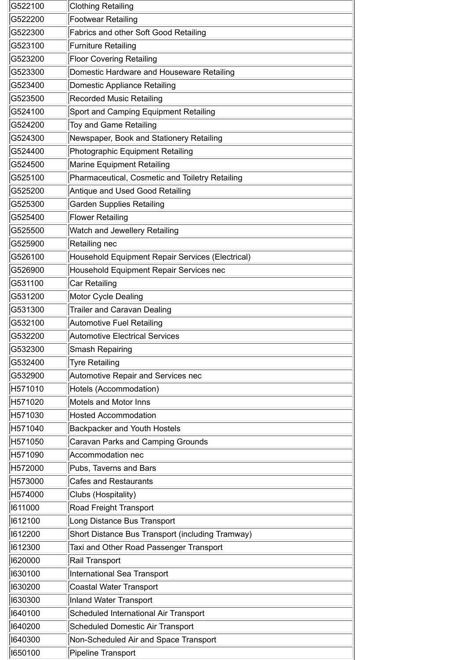| G522100 | <b>Clothing Retailing</b>                        |
|---------|--------------------------------------------------|
| G522200 | <b>Footwear Retailing</b>                        |
| G522300 | <b>Fabrics and other Soft Good Retailing</b>     |
| G523100 | <b>Furniture Retailing</b>                       |
| G523200 | <b>Floor Covering Retailing</b>                  |
| G523300 | Domestic Hardware and Houseware Retailing        |
| G523400 | Domestic Appliance Retailing                     |
| G523500 | <b>Recorded Music Retailing</b>                  |
| G524100 | Sport and Camping Equipment Retailing            |
| G524200 | Toy and Game Retailing                           |
| G524300 | Newspaper, Book and Stationery Retailing         |
| G524400 | Photographic Equipment Retailing                 |
| G524500 | <b>Marine Equipment Retailing</b>                |
| G525100 | Pharmaceutical, Cosmetic and Toiletry Retailing  |
| G525200 | Antique and Used Good Retailing                  |
| G525300 | <b>Garden Supplies Retailing</b>                 |
| G525400 | <b>Flower Retailing</b>                          |
| G525500 | Watch and Jewellery Retailing                    |
| G525900 | Retailing nec                                    |
| G526100 | Household Equipment Repair Services (Electrical) |
| G526900 | Household Equipment Repair Services nec          |
| G531100 | Car Retailing                                    |
| G531200 | <b>Motor Cycle Dealing</b>                       |
| G531300 | <b>Trailer and Caravan Dealing</b>               |
| G532100 | <b>Automotive Fuel Retailing</b>                 |
| G532200 | <b>Automotive Electrical Services</b>            |
| G532300 | <b>Smash Repairing</b>                           |
| G532400 | <b>Tyre Retailing</b>                            |
| G532900 | <b>Automotive Repair and Services nec</b>        |
| H571010 | Hotels (Accommodation)                           |
| H571020 | <b>Motels and Motor Inns</b>                     |
| H571030 | <b>Hosted Accommodation</b>                      |
| H571040 | <b>Backpacker and Youth Hostels</b>              |
| H571050 | <b>Caravan Parks and Camping Grounds</b>         |
| H571090 | Accommodation nec                                |
| H572000 | Pubs, Taverns and Bars                           |
| H573000 | <b>Cafes and Restaurants</b>                     |
| H574000 | Clubs (Hospitality)                              |
| 1611000 | <b>Road Freight Transport</b>                    |
| 1612100 | Long Distance Bus Transport                      |
| 1612200 | Short Distance Bus Transport (including Tramway) |
| 1612300 | Taxi and Other Road Passenger Transport          |
| 1620000 | Rail Transport                                   |
| 1630100 | International Sea Transport                      |
| 1630200 | <b>Coastal Water Transport</b>                   |
|         |                                                  |
| 1630300 | Inland Water Transport                           |
| 1640100 | Scheduled International Air Transport            |
| 1640200 | <b>Scheduled Domestic Air Transport</b>          |
| 1640300 | Non-Scheduled Air and Space Transport            |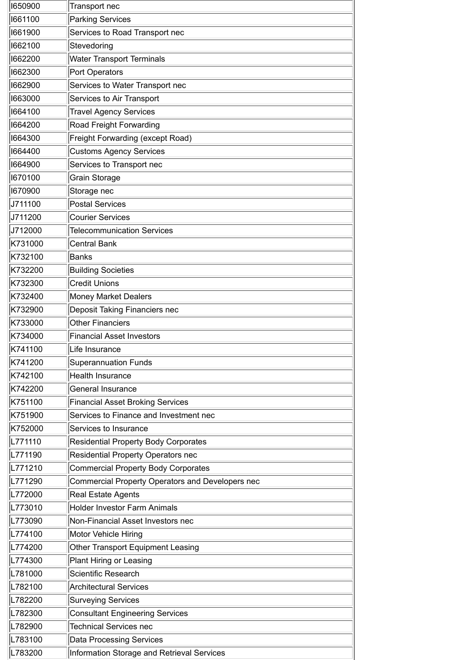| 1650900 | Transport nec                                           |
|---------|---------------------------------------------------------|
| 1661100 | <b>Parking Services</b>                                 |
| 1661900 | Services to Road Transport nec                          |
| 1662100 | Stevedoring                                             |
| 1662200 | <b>Water Transport Terminals</b>                        |
| 1662300 | Port Operators                                          |
| 1662900 | Services to Water Transport nec                         |
| 1663000 | <b>Services to Air Transport</b>                        |
| 1664100 | <b>Travel Agency Services</b>                           |
| 1664200 | Road Freight Forwarding                                 |
| 1664300 | Freight Forwarding (except Road)                        |
| 1664400 | <b>Customs Agency Services</b>                          |
| 1664900 | Services to Transport nec                               |
| 1670100 | <b>Grain Storage</b>                                    |
| 1670900 | Storage nec                                             |
| J711100 | <b>Postal Services</b>                                  |
| J711200 | <b>Courier Services</b>                                 |
| J712000 | <b>Telecommunication Services</b>                       |
| K731000 | <b>Central Bank</b>                                     |
| K732100 | Banks                                                   |
| K732200 | <b>Building Societies</b>                               |
| K732300 | <b>Credit Unions</b>                                    |
| K732400 | <b>Money Market Dealers</b>                             |
| K732900 | <b>Deposit Taking Financiers nec</b>                    |
| K733000 | <b>Other Financiers</b>                                 |
| K734000 | <b>Financial Asset Investors</b>                        |
| K741100 | Life Insurance                                          |
| K741200 | <b>Superannuation Funds</b>                             |
| K742100 | <b>Health Insurance</b>                                 |
| K742200 | <b>General Insurance</b>                                |
| K751100 | <b>Financial Asset Broking Services</b>                 |
| K751900 | Services to Finance and Investment nec                  |
| K752000 | Services to Insurance                                   |
| L771110 | <b>Residential Property Body Corporates</b>             |
| L771190 | Residential Property Operators nec                      |
| L771210 | <b>Commercial Property Body Corporates</b>              |
| L771290 | <b>Commercial Property Operators and Developers nec</b> |
| L772000 | <b>Real Estate Agents</b>                               |
| L773010 | <b>Holder Investor Farm Animals</b>                     |
| L773090 | Non-Financial Asset Investors nec                       |
| L774100 | <b>Motor Vehicle Hiring</b>                             |
| L774200 | <b>Other Transport Equipment Leasing</b>                |
| L774300 | <b>Plant Hiring or Leasing</b>                          |
| L781000 | Scientific Research                                     |
| L782100 | <b>Architectural Services</b>                           |
| L782200 | <b>Surveying Services</b>                               |
| L782300 | <b>Consultant Engineering Services</b>                  |
| L782900 | <b>Technical Services nec</b>                           |
| L783100 | <b>Data Processing Services</b>                         |
| L783200 | Information Storage and Retrieval Services              |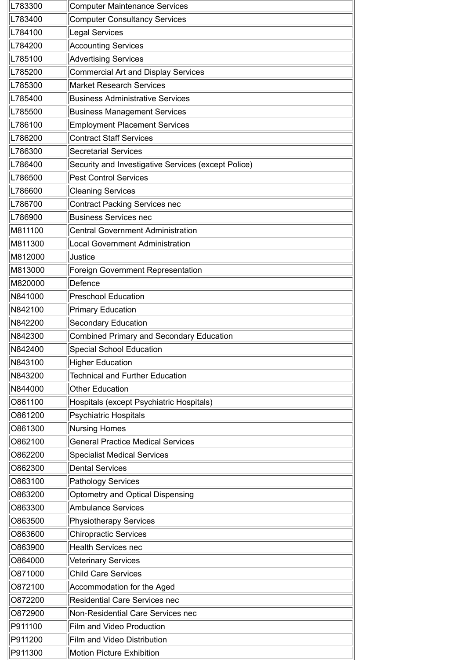| L783300 | <b>Computer Maintenance Services</b>                |
|---------|-----------------------------------------------------|
| L783400 | <b>Computer Consultancy Services</b>                |
| L784100 | <b>Legal Services</b>                               |
| L784200 | <b>Accounting Services</b>                          |
| L785100 | <b>Advertising Services</b>                         |
| L785200 | <b>Commercial Art and Display Services</b>          |
| L785300 | <b>Market Research Services</b>                     |
| L785400 | <b>Business Administrative Services</b>             |
| L785500 | <b>Business Management Services</b>                 |
| L786100 | <b>Employment Placement Services</b>                |
| L786200 | <b>Contract Staff Services</b>                      |
| L786300 | <b>Secretarial Services</b>                         |
| L786400 | Security and Investigative Services (except Police) |
| L786500 | <b>Pest Control Services</b>                        |
| L786600 | <b>Cleaning Services</b>                            |
| L786700 | <b>Contract Packing Services nec</b>                |
| L786900 | <b>Business Services nec</b>                        |
| M811100 | <b>Central Government Administration</b>            |
| M811300 | <b>Local Government Administration</b>              |
| M812000 | Justice                                             |
| M813000 | <b>Foreign Government Representation</b>            |
| M820000 | Defence                                             |
| N841000 | <b>Preschool Education</b>                          |
| N842100 | <b>Primary Education</b>                            |
| N842200 | <b>Secondary Education</b>                          |
| N842300 | <b>Combined Primary and Secondary Education</b>     |
| N842400 | <b>Special School Education</b>                     |
| N843100 | <b>Higher Education</b>                             |
| N843200 | <b>Technical and Further Education</b>              |
| N844000 | <b>Other Education</b>                              |
| O861100 | Hospitals (except Psychiatric Hospitals)            |
| O861200 | <b>Psychiatric Hospitals</b>                        |
| O861300 | Nursing Homes                                       |
| O862100 | <b>General Practice Medical Services</b>            |
| O862200 | <b>Specialist Medical Services</b>                  |
| O862300 | <b>Dental Services</b>                              |
| O863100 | <b>Pathology Services</b>                           |
| O863200 | Optometry and Optical Dispensing                    |
| O863300 | <b>Ambulance Services</b>                           |
| O863500 | <b>Physiotherapy Services</b>                       |
| O863600 | <b>Chiropractic Services</b>                        |
| O863900 | <b>Health Services nec</b>                          |
| O864000 | <b>Veterinary Services</b>                          |
| O871000 | <b>Child Care Services</b>                          |
| 0872100 | Accommodation for the Aged                          |
| O872200 | <b>Residential Care Services nec</b>                |
| O872900 | Non-Residential Care Services nec                   |
| P911100 | <b>Film and Video Production</b>                    |
| P911200 | <b>Film and Video Distribution</b>                  |
|         |                                                     |